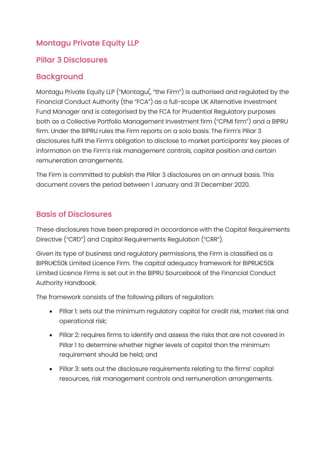# Montagu Private Equity LLP

## Pillar 3 Disclosures

## Background

Montagu Private Equity LLP ("Montagu(, "the Firm") is authorised and regulated by the Financial Conduct Authority (the "FCA") as a full-scope UK Alternative Investment Fund Manager and is categorised by the FCA for Prudential Regulatory purposes both as a Collective Portfolio Management Investment firm ("CPMI firm") and a BIPRU firm. Under the BIPRU rules the Firm reports on a solo basis. The Firm's Pillar 3 disclosures fulfil the Firm's obligation to disclose to market participants' key pieces of information on the Firm's risk management controls, capital position and certain remuneration arrangements.

The Firm is committed to publish the Pillar 3 disclosures on an annual basis. This document covers the period between 1 January and 31 December 2020.

## Basis of Disclosures

These disclosures have been prepared in accordance with the Capital Requirements Directive ("CRD") and Capital Requirements Regulation ("CRR").

Given its type of business and regulatory permissions, the Firm is classified as a BIPRU€50k Limited Licence Firm. The capital adequacy framework for BIPRU€50k Limited Licence Firms is set out in the BIPRU Sourcebook of the Financial Conduct Authority Handbook.

The framework consists of the following pillars of regulation:

- Pillar 1: sets out the minimum regulatory capital for credit risk, market risk and operational risk;
- Pillar 2: requires firms to identify and assess the risks that are not covered in Pillar 1 to determine whether higher levels of capital than the minimum requirement should be held; and
- Pillar 3: sets out the disclosure requirements relating to the firms' capital resources, risk management controls and remuneration arrangements.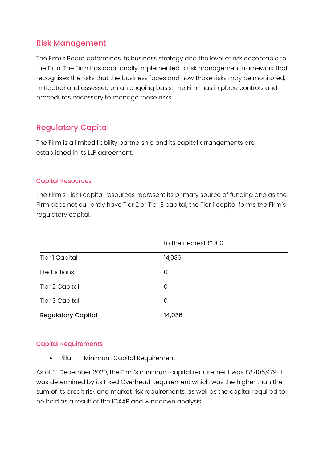### Risk Management

The Firm's Board determines its business strategy and the level of risk acceptable to the Firm. The Firm has additionally implemented a risk management framework that recognises the risks that the business faces and how those risks may be monitored, mitigated and assessed on an ongoing basis. The Firm has in place controls and procedures necessary to manage those risks.

## Regulatory Capital

The Firm is a limited liability partnership and its capital arrangements are established in its LLP agreement.

### Capital Resources

The Firm's Tier 1 capital resources represent its primary source of funding and as the Firm does not currently have Tier 2 or Tier 3 capital, the Tier 1 capital forms the Firm's regulatory capital.

|                           | to the nearest £'000 |
|---------------------------|----------------------|
| Tier 1 Capital            | 14,036               |
| Deductions                | IO                   |
| Tier 2 Capital            | 0                    |
| Tier 3 Capital            | Ю                    |
| <b>Regulatory Capital</b> | 14,036               |

### Capital Requirements

• Pillar 1 – Minimum Capital Requirement

As of 31 December 2020, the Firm's minimum capital requirement was £8,406,979. It was determined by its Fixed Overhead Requirement which was the higher than the sum of its credit risk and market risk requirements, as well as the capital required to be held as a result of the ICAAP and winddown analysis.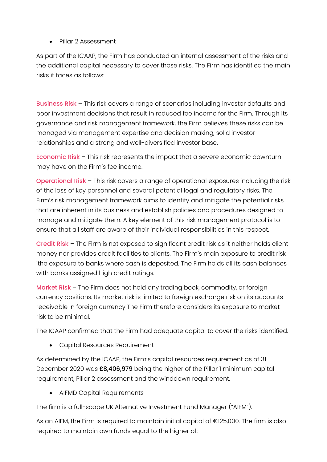• Pillar 2 Assessment

As part of the ICAAP, the Firm has conducted an internal assessment of the risks and the additional capital necessary to cover those risks. The Firm has identified the main risks it faces as follows:

Business Risk – This risk covers a range of scenarios including investor defaults and poor investment decisions that result in reduced fee income for the Firm. Through its governance and risk management framework, the Firm believes these risks can be managed via management expertise and decision making, solid investor relationships and a strong and well-diversified investor base.

Economic Risk – This risk represents the impact that a severe economic downturn may have on the Firm's fee income.

Operational Risk – This risk covers a range of operational exposures including the risk of the loss of key personnel and several potential legal and regulatory risks. The Firm's risk management framework aims to identify and mitigate the potential risks that are inherent in its business and establish policies and procedures designed to manage and mitigate them. A key element of this risk management protocol is to ensure that all staff are aware of their individual responsibilities in this respect.

Credit Risk – The Firm is not exposed to significant credit risk as it neither holds client money nor provides credit facilities to clients. The Firm's main exposure to credit risk ithe exposure to banks where cash is deposited. The Firm holds all its cash balances with banks assigned high credit ratings.

Market Risk – The Firm does not hold any trading book, commodity, or foreign currency positions. Its market risk is limited to foreign exchange risk on its accounts receivable in foreign currency The Firm therefore considers its exposure to market risk to be minimal.

The ICAAP confirmed that the Firm had adequate capital to cover the risks identified.

• Capital Resources Requirement

As determined by the ICAAP, the Firm's capital resources requirement as of 31 December 2020 was £8,406,979 being the higher of the Pillar 1 minimum capital requirement, Pillar 2 assessment and the winddown requirement.

• AIFMD Capital Requirements

The firm is a full-scope UK Alternative Investment Fund Manager ("AIFM").

As an AIFM, the Firm is required to maintain initial capital of €125,000. The firm is also required to maintain own funds equal to the higher of: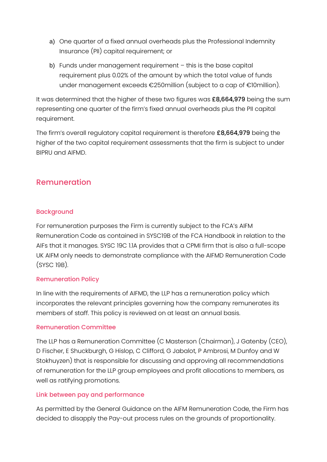- a) One quarter of a fixed annual overheads plus the Professional Indemnity Insurance (PII) capital requirement; or
- b) Funds under management requirement this is the base capital requirement plus 0.02% of the amount by which the total value of funds under management exceeds €250million (subject to a cap of €10million).

It was determined that the higher of these two figures was £8,664,979 being the sum representing one quarter of the firm's fixed annual overheads plus the PII capital requirement.

The firm's overall regulatory capital requirement is therefore £8,664,979 being the higher of the two capital requirement assessments that the firm is subject to under BIPRU and AIFMD.

## Remuneration

### Background

For remuneration purposes the Firm is currently subject to the FCA's AIFM Remuneration Code as contained in SYSC19B of the FCA Handbook in relation to the AIFs that it manages. SYSC 19C 1.1A provides that a CPMI firm that is also a full-scope UK AIFM only needs to demonstrate compliance with the AIFMD Remuneration Code (SYSC 19B).

#### Remuneration Policy

In line with the requirements of AIFMD, the LLP has a remuneration policy which incorporates the relevant principles governing how the company remunerates its members of staff. This policy is reviewed on at least an annual basis.

#### Remuneration Committee

The LLP has a Remuneration Committee (C Masterson (Chairman), J Gatenby (CEO), D Fischer, E Shuckburgh, G Hislop, C Clifford, G Jabalot, P Ambrosi, M Dunfoy and W Stokhuyzen) that is responsible for discussing and approving all recommendations of remuneration for the LLP group employees and profit allocations to members, as well as ratifying promotions.

#### Link between pay and performance

As permitted by the General Guidance on the AIFM Remuneration Code, the Firm has decided to disapply the Pay-out process rules on the grounds of proportionality.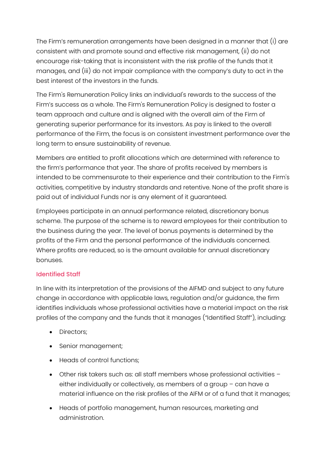The Firm's remuneration arrangements have been designed in a manner that (i) are consistent with and promote sound and effective risk management, (ii) do not encourage risk-taking that is inconsistent with the risk profile of the funds that it manages, and (iii) do not impair compliance with the company's duty to act in the best interest of the investors in the funds.

The Firm's Remuneration Policy links an individual's rewards to the success of the Firm's success as a whole. The Firm's Remuneration Policy is designed to foster a team approach and culture and is aligned with the overall aim of the Firm of generating superior performance for its investors. As pay is linked to the overall performance of the Firm, the focus is on consistent investment performance over the long term to ensure sustainability of revenue.

Members are entitled to profit allocations which are determined with reference to the firm's performance that year. The share of profits received by members is intended to be commensurate to their experience and their contribution to the Firm's activities, competitive by industry standards and retentive. None of the profit share is paid out of individual Funds nor is any element of it guaranteed.

Employees participate in an annual performance related, discretionary bonus scheme. The purpose of the scheme is to reward employees for their contribution to the business during the year. The level of bonus payments is determined by the profits of the Firm and the personal performance of the individuals concerned. Where profits are reduced, so is the amount available for annual discretionary bonuses.

### Identified Staff

In line with its interpretation of the provisions of the AIFMD and subject to any future change in accordance with applicable laws, regulation and/or guidance, the firm identifies individuals whose professional activities have a material impact on the risk profiles of the company and the funds that it manages ("Identified Staff"), including:

- Directors;
- Senior management;
- Heads of control functions;
- Other risk takers such as: all staff members whose professional activities either individually or collectively, as members of a group – can have a material influence on the risk profiles of the AIFM or of a fund that it manages;
- Heads of portfolio management, human resources, marketing and administration.